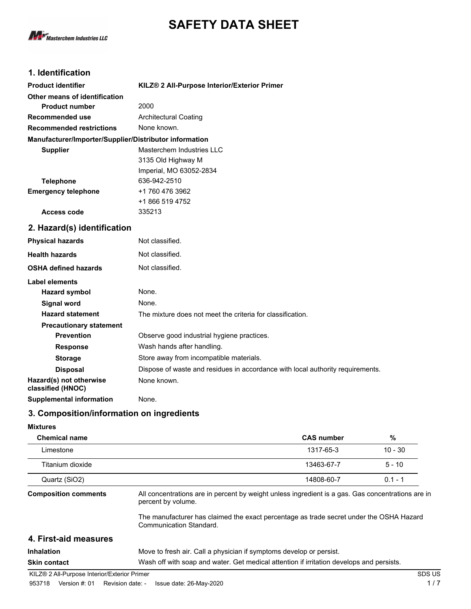



# **1. Identification**

| <b>Product identifier</b>                              | KILZ <sup>®</sup> 2 All-Purpose Interior/Exterior Primer                       |
|--------------------------------------------------------|--------------------------------------------------------------------------------|
| Other means of identification                          |                                                                                |
| <b>Product number</b>                                  | 2000                                                                           |
| <b>Recommended use</b>                                 | <b>Architectural Coating</b>                                                   |
| <b>Recommended restrictions</b>                        | None known.                                                                    |
| Manufacturer/Importer/Supplier/Distributor information |                                                                                |
| <b>Supplier</b>                                        | Masterchem Industries LLC                                                      |
|                                                        | 3135 Old Highway M                                                             |
|                                                        | Imperial, MO 63052-2834                                                        |
| <b>Telephone</b>                                       | 636-942-2510                                                                   |
| <b>Emergency telephone</b>                             | +1 760 476 3962                                                                |
|                                                        | +1 866 519 4752                                                                |
| <b>Access code</b>                                     | 335213                                                                         |
| 2. Hazard(s) identification                            |                                                                                |
| <b>Physical hazards</b>                                | Not classified.                                                                |
| <b>Health hazards</b>                                  | Not classified.                                                                |
| <b>OSHA defined hazards</b>                            | Not classified.                                                                |
| <b>Label elements</b>                                  |                                                                                |
| <b>Hazard symbol</b>                                   | None.                                                                          |
| <b>Signal word</b>                                     | None.                                                                          |
| <b>Hazard statement</b>                                | The mixture does not meet the criteria for classification.                     |
| <b>Precautionary statement</b>                         |                                                                                |
| <b>Prevention</b>                                      | Observe good industrial hygiene practices.                                     |
| <b>Response</b>                                        | Wash hands after handling.                                                     |
| <b>Storage</b>                                         | Store away from incompatible materials.                                        |
| <b>Disposal</b>                                        | Dispose of waste and residues in accordance with local authority requirements. |
| Hazard(s) not otherwise<br>classified (HNOC)           | None known.                                                                    |
| <b>Supplemental information</b>                        | None.                                                                          |

# **3. Composition/information on ingredients**

#### **Mixtures**

| <b>Chemical name</b>        |                                                                                                                         | <b>CAS number</b> | %         |
|-----------------------------|-------------------------------------------------------------------------------------------------------------------------|-------------------|-----------|
| Limestone                   |                                                                                                                         | 1317-65-3         | $10 - 30$ |
| Titanium dioxide            |                                                                                                                         | 13463-67-7        | $5 - 10$  |
| Quartz (SiO2)               |                                                                                                                         | 14808-60-7        | $0.1 - 1$ |
| <b>Composition comments</b> | All concentrations are in percent by weight unless ingredient is a gas. Gas concentrations are in<br>percent by volume. |                   |           |
|                             | The manufacturer has claimed the exact percentage as trade secret under the OSHA Hazard<br>Communication Standard.      |                   |           |
| 4. First-aid measures       |                                                                                                                         |                   |           |
| <b>Inhalation</b>           | Move to fresh air. Call a physician if symptoms develop or persist.                                                     |                   |           |
| <b>Skin contact</b>         | Wash off with soap and water. Get medical attention if irritation develops and persists.                                |                   |           |

KILZ® 2 All-Purpose Interior/Exterior Primer SDS US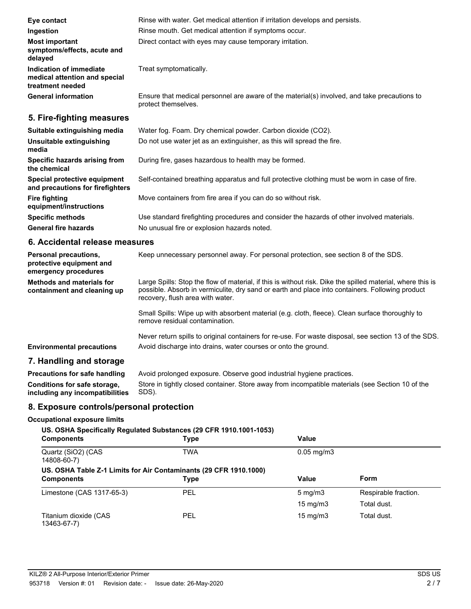| Eye contact                                                                  | Rinse with water. Get medical attention if irritation develops and persists.                                        |
|------------------------------------------------------------------------------|---------------------------------------------------------------------------------------------------------------------|
| Ingestion                                                                    | Rinse mouth. Get medical attention if symptoms occur.                                                               |
| <b>Most important</b><br>symptoms/effects, acute and<br>delayed              | Direct contact with eyes may cause temporary irritation.                                                            |
| Indication of immediate<br>medical attention and special<br>treatment needed | Treat symptomatically.                                                                                              |
| <b>General information</b>                                                   | Ensure that medical personnel are aware of the material(s) involved, and take precautions to<br>protect themselves. |
| 5. Fire-fighting measures                                                    |                                                                                                                     |
| Suitable extinguishing media                                                 | Water fog. Foam. Dry chemical powder. Carbon dioxide (CO2).                                                         |
| Unsuitable extinguishing<br>media                                            | Do not use water jet as an extinguisher, as this will spread the fire.                                              |
| Specific hazards arising from<br>the chemical                                | During fire, gases hazardous to health may be formed.                                                               |
| Special protective equipment                                                 | Self-contained breathing apparatus and full protective clothing must be worn in case of fire.                       |

**and precautions for firefighters Fire fighting** Move containers from fire area if you can do so without risk. **equipment/instructions Specific methods** Use standard firefighting procedures and consider the hazards of other involved materials.

General fire hazards **No unusual fire or explosion hazards noted.** 

## **6. Accidental release measures**

| <b>Personal precautions.</b><br>protective equipment and<br>emergency procedures | Keep unnecessary personnel away. For personal protection, see section 8 of the SDS.                                                                                                                                                               |
|----------------------------------------------------------------------------------|---------------------------------------------------------------------------------------------------------------------------------------------------------------------------------------------------------------------------------------------------|
| <b>Methods and materials for</b><br>containment and cleaning up                  | Large Spills: Stop the flow of material, if this is without risk. Dike the spilled material, where this is<br>possible. Absorb in vermiculite, dry sand or earth and place into containers. Following product<br>recovery, flush area with water. |
|                                                                                  | Small Spills: Wipe up with absorbent material (e.g. cloth, fleece). Clean surface thoroughly to<br>remove residual contamination.                                                                                                                 |
| <b>Environmental precautions</b>                                                 | Never return spills to original containers for re-use. For waste disposal, see section 13 of the SDS.<br>Avoid discharge into drains, water courses or onto the ground.                                                                           |
| 7. Handling and storage                                                          |                                                                                                                                                                                                                                                   |
|                                                                                  | <b>B</b> and the contract of the contracted and and an accumum of the contracted belonging and the contraction                                                                                                                                    |

#### **Precautions for safe handling** Avoid prolonged exposure. Observe good industrial hygiene practices. Store in tightly closed container. Store away from incompatible materials (see Section 10 of the SDS). **Conditions for safe storage, including any incompatibilities**

# **8. Exposure controls/personal protection**

## **Occupational exposure limits**

# **US. OSHA Specifically Regulated Substances (29 CFR 1910.1001-1053) Components Type Value** Quartz (SiO2) (CAS TWA 0.05 mg/m3 14808-60-7) **US. OSHA Table Z-1 Limits for Air Contaminants (29 CFR 1910.1000) Components Type Value Form** Limestone (CAS 1317-65-3) PEL 5 mg/m3 Respirable fraction. 15 mg/m3 Total dust. Titanium dioxide (CAS The 15 mg/m3 Total dust. 15 mg/m3 Total dust. 13463-67-7)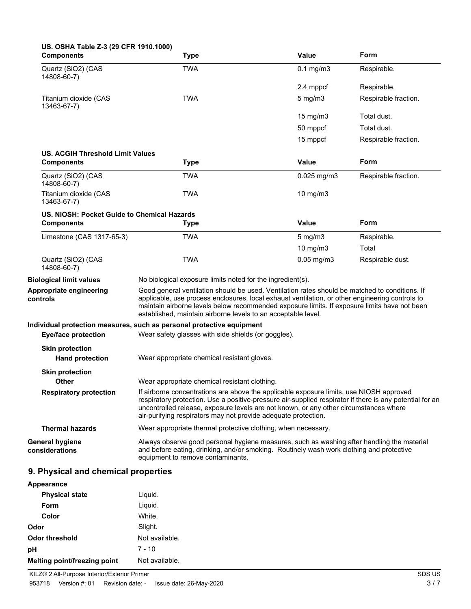| US. OSHA Table Z-3 (29 CFR 1910.1000)<br><b>Components</b> | <b>Type</b>                                                                                                                                                                                                                                                                                                                                                        | Value            | Form                 |
|------------------------------------------------------------|--------------------------------------------------------------------------------------------------------------------------------------------------------------------------------------------------------------------------------------------------------------------------------------------------------------------------------------------------------------------|------------------|----------------------|
| Quartz (SiO2) (CAS<br>14808-60-7)                          | <b>TWA</b>                                                                                                                                                                                                                                                                                                                                                         | $0.1$ mg/m $3$   | Respirable.          |
|                                                            |                                                                                                                                                                                                                                                                                                                                                                    | 2.4 mppcf        | Respirable.          |
| Titanium dioxide (CAS<br>13463-67-7)                       | <b>TWA</b>                                                                                                                                                                                                                                                                                                                                                         | $5 \text{ mg/m}$ | Respirable fraction. |
|                                                            |                                                                                                                                                                                                                                                                                                                                                                    | 15 mg/m3         | Total dust.          |
|                                                            |                                                                                                                                                                                                                                                                                                                                                                    | 50 mppcf         | Total dust.          |
|                                                            |                                                                                                                                                                                                                                                                                                                                                                    | 15 mppcf         | Respirable fraction. |
| US. ACGIH Threshold Limit Values                           |                                                                                                                                                                                                                                                                                                                                                                    |                  |                      |
| <b>Components</b>                                          | <b>Type</b>                                                                                                                                                                                                                                                                                                                                                        | <b>Value</b>     | Form                 |
| Quartz (SiO2) (CAS<br>14808-60-7)                          | <b>TWA</b>                                                                                                                                                                                                                                                                                                                                                         | $0.025$ mg/m3    | Respirable fraction. |
| Titanium dioxide (CAS<br>13463-67-7)                       | <b>TWA</b>                                                                                                                                                                                                                                                                                                                                                         | 10 mg/m3         |                      |
| US. NIOSH: Pocket Guide to Chemical Hazards                |                                                                                                                                                                                                                                                                                                                                                                    |                  |                      |
| <b>Components</b>                                          | <b>Type</b>                                                                                                                                                                                                                                                                                                                                                        | <b>Value</b>     | Form                 |
| Limestone (CAS 1317-65-3)                                  | <b>TWA</b>                                                                                                                                                                                                                                                                                                                                                         | $5$ mg/m $3$     | Respirable.          |
|                                                            |                                                                                                                                                                                                                                                                                                                                                                    | 10 $mg/m3$       | Total                |
| Quartz (SiO2) (CAS<br>14808-60-7)                          | <b>TWA</b>                                                                                                                                                                                                                                                                                                                                                         | $0.05$ mg/m $3$  | Respirable dust.     |
| <b>Biological limit values</b>                             | No biological exposure limits noted for the ingredient(s).                                                                                                                                                                                                                                                                                                         |                  |                      |
| Appropriate engineering<br>controls                        | Good general ventilation should be used. Ventilation rates should be matched to conditions. If<br>applicable, use process enclosures, local exhaust ventilation, or other engineering controls to<br>maintain airborne levels below recommended exposure limits. If exposure limits have not been<br>established, maintain airborne levels to an acceptable level. |                  |                      |
| <b>Eye/face protection</b>                                 | Individual protection measures, such as personal protective equipment<br>Wear safety glasses with side shields (or goggles).                                                                                                                                                                                                                                       |                  |                      |
| <b>Skin protection</b>                                     |                                                                                                                                                                                                                                                                                                                                                                    |                  |                      |
| <b>Hand protection</b>                                     | Wear appropriate chemical resistant gloves.                                                                                                                                                                                                                                                                                                                        |                  |                      |
| <b>Skin protection</b>                                     |                                                                                                                                                                                                                                                                                                                                                                    |                  |                      |
| <b>Other</b>                                               | Wear appropriate chemical resistant clothing.                                                                                                                                                                                                                                                                                                                      |                  |                      |
| <b>Respiratory protection</b>                              | If airborne concentrations are above the applicable exposure limits, use NIOSH approved<br>respiratory protection. Use a positive-pressure air-supplied respirator if there is any potential for an<br>uncontrolled release, exposure levels are not known, or any other circumstances where<br>air-purifying respirators may not provide adequate protection.     |                  |                      |
| <b>Thermal hazards</b>                                     | Wear appropriate thermal protective clothing, when necessary.                                                                                                                                                                                                                                                                                                      |                  |                      |
| <b>General hygiene</b><br>considerations                   | Always observe good personal hygiene measures, such as washing after handling the material<br>and before eating, drinking, and/or smoking. Routinely wash work clothing and protective<br>equipment to remove contaminants.                                                                                                                                        |                  |                      |
| 9. Physical and chemical properties                        |                                                                                                                                                                                                                                                                                                                                                                    |                  |                      |
| <b>Appearance</b>                                          |                                                                                                                                                                                                                                                                                                                                                                    |                  |                      |
| <b>Physical state</b>                                      | Liquid.                                                                                                                                                                                                                                                                                                                                                            |                  |                      |
| <b>E</b> orm                                               | himi I                                                                                                                                                                                                                                                                                                                                                             |                  |                      |

| <b>Physical state</b>        | Liquid.        |
|------------------------------|----------------|
| <b>Form</b>                  | Liquid.        |
| Color                        | White.         |
| Odor                         | Slight.        |
| Odor threshold               | Not available. |
| рH                           | $7 - 10$       |
| Melting point/freezing point | Not available. |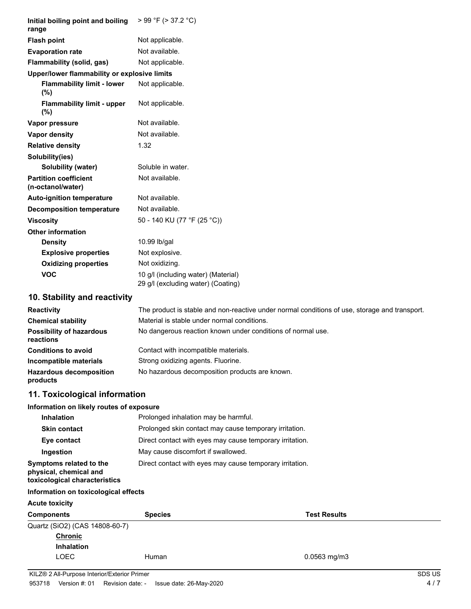| Initial boiling point and boiling<br>range        | $> 99$ °F ( $> 37.2$ °C)                                                  |
|---------------------------------------------------|---------------------------------------------------------------------------|
| <b>Flash point</b>                                | Not applicable.                                                           |
| <b>Evaporation rate</b>                           | Not available.                                                            |
| Flammability (solid, gas)                         | Not applicable.                                                           |
| Upper/lower flammability or explosive limits      |                                                                           |
| <b>Flammability limit - lower</b><br>(%)          | Not applicable.                                                           |
| <b>Flammability limit - upper</b><br>(%)          | Not applicable.                                                           |
| Vapor pressure                                    | Not available.                                                            |
| <b>Vapor density</b>                              | Not available.                                                            |
| <b>Relative density</b>                           | 1.32                                                                      |
| Solubility(ies)                                   |                                                                           |
| Solubility (water)                                | Soluble in water.                                                         |
| <b>Partition coefficient</b><br>(n-octanol/water) | Not available.                                                            |
| <b>Auto-ignition temperature</b>                  | Not available.                                                            |
| <b>Decomposition temperature</b>                  | Not available.                                                            |
| <b>Viscosity</b>                                  | 50 - 140 KU (77 °F (25 °C))                                               |
| <b>Other information</b>                          |                                                                           |
| <b>Density</b>                                    | 10.99 lb/gal                                                              |
| <b>Explosive properties</b>                       | Not explosive.                                                            |
| <b>Oxidizing properties</b>                       | Not oxidizing.                                                            |
| <b>VOC</b>                                        | 10 g/l (including water) (Material)<br>29 g/l (excluding water) (Coating) |
| 10. Stability and reactivity                      |                                                                           |

| <b>Reactivity</b>                            | The product is stable and non-reactive under normal conditions of use, storage and transport. |
|----------------------------------------------|-----------------------------------------------------------------------------------------------|
| <b>Chemical stability</b>                    | Material is stable under normal conditions.                                                   |
| <b>Possibility of hazardous</b><br>reactions | No dangerous reaction known under conditions of normal use.                                   |
| <b>Conditions to avoid</b>                   | Contact with incompatible materials.                                                          |
| Incompatible materials                       | Strong oxidizing agents. Fluorine.                                                            |
| <b>Hazardous decomposition</b><br>products   | No hazardous decomposition products are known.                                                |

# **11. Toxicological information**

### **Information on likely routes of exposure**

| <b>Inhalation</b>                                                                  | Prolonged inhalation may be harmful.                     |
|------------------------------------------------------------------------------------|----------------------------------------------------------|
| <b>Skin contact</b>                                                                | Prolonged skin contact may cause temporary irritation.   |
| Eye contact                                                                        | Direct contact with eyes may cause temporary irritation. |
| Ingestion                                                                          | May cause discomfort if swallowed.                       |
| Symptoms related to the<br>physical, chemical and<br>toxicological characteristics | Direct contact with eyes may cause temporary irritation. |

### **Information on toxicological effects**

#### **Acute toxicity**

| <b>Components</b>              | <b>Species</b> | <b>Test Results</b> |
|--------------------------------|----------------|---------------------|
| Quartz (SiO2) (CAS 14808-60-7) |                |                     |
| <b>Chronic</b>                 |                |                     |
| <b>Inhalation</b>              |                |                     |
| LOEC                           | Human          | $0.0563$ mg/m3      |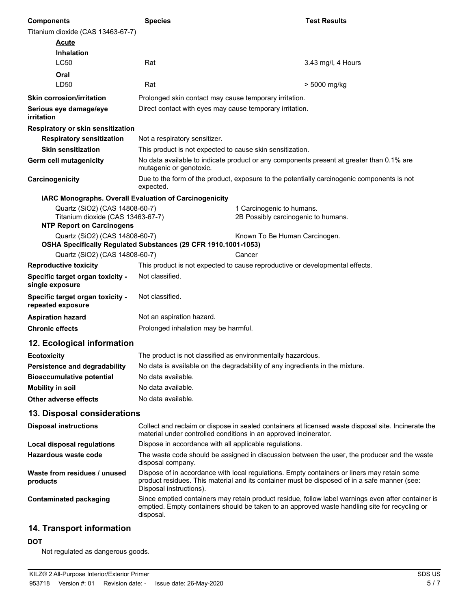| <b>Components</b>                                                                                       | <b>Species</b>                                                 | <b>Test Results</b>                                                                                                                                                                                 |
|---------------------------------------------------------------------------------------------------------|----------------------------------------------------------------|-----------------------------------------------------------------------------------------------------------------------------------------------------------------------------------------------------|
| Titanium dioxide (CAS 13463-67-7)                                                                       |                                                                |                                                                                                                                                                                                     |
| <b>Acute</b>                                                                                            |                                                                |                                                                                                                                                                                                     |
| <b>Inhalation</b>                                                                                       |                                                                |                                                                                                                                                                                                     |
| <b>LC50</b>                                                                                             | Rat                                                            | 3.43 mg/l, 4 Hours                                                                                                                                                                                  |
| Oral                                                                                                    |                                                                |                                                                                                                                                                                                     |
| LD50                                                                                                    | Rat                                                            | > 5000 mg/kg                                                                                                                                                                                        |
| <b>Skin corrosion/irritation</b>                                                                        | Prolonged skin contact may cause temporary irritation.         |                                                                                                                                                                                                     |
| Serious eye damage/eye<br>irritation                                                                    | Direct contact with eyes may cause temporary irritation.       |                                                                                                                                                                                                     |
| Respiratory or skin sensitization                                                                       |                                                                |                                                                                                                                                                                                     |
| <b>Respiratory sensitization</b>                                                                        | Not a respiratory sensitizer.                                  |                                                                                                                                                                                                     |
| <b>Skin sensitization</b>                                                                               | This product is not expected to cause skin sensitization.      |                                                                                                                                                                                                     |
| <b>Germ cell mutagenicity</b>                                                                           | mutagenic or genotoxic.                                        | No data available to indicate product or any components present at greater than 0.1% are                                                                                                            |
| Carcinogenicity                                                                                         | expected.                                                      | Due to the form of the product, exposure to the potentially carcinogenic components is not                                                                                                          |
| IARC Monographs. Overall Evaluation of Carcinogenicity                                                  |                                                                |                                                                                                                                                                                                     |
| Quartz (SiO2) (CAS 14808-60-7)<br>Titanium dioxide (CAS 13463-67-7)<br><b>NTP Report on Carcinogens</b> |                                                                | 1 Carcinogenic to humans.<br>2B Possibly carcinogenic to humans.                                                                                                                                    |
| Quartz (SiO2) (CAS 14808-60-7)                                                                          |                                                                | Known To Be Human Carcinogen.                                                                                                                                                                       |
|                                                                                                         | OSHA Specifically Regulated Substances (29 CFR 1910.1001-1053) |                                                                                                                                                                                                     |
| Quartz (SiO2) (CAS 14808-60-7)                                                                          |                                                                | Cancer                                                                                                                                                                                              |
| <b>Reproductive toxicity</b>                                                                            |                                                                | This product is not expected to cause reproductive or developmental effects.                                                                                                                        |
| Specific target organ toxicity -<br>single exposure                                                     | Not classified.                                                |                                                                                                                                                                                                     |
| Specific target organ toxicity -<br>repeated exposure                                                   | Not classified.                                                |                                                                                                                                                                                                     |
| <b>Aspiration hazard</b>                                                                                | Not an aspiration hazard.                                      |                                                                                                                                                                                                     |
| <b>Chronic effects</b>                                                                                  | Prolonged inhalation may be harmful.                           |                                                                                                                                                                                                     |
| 12. Ecological information                                                                              |                                                                |                                                                                                                                                                                                     |
| <b>Ecotoxicity</b>                                                                                      | The product is not classified as environmentally hazardous.    |                                                                                                                                                                                                     |
| Persistence and degradability                                                                           |                                                                | No data is available on the degradability of any ingredients in the mixture.                                                                                                                        |
| <b>Bioaccumulative potential</b>                                                                        | No data available.                                             |                                                                                                                                                                                                     |
| <b>Mobility in soil</b>                                                                                 | No data available.                                             |                                                                                                                                                                                                     |
| Other adverse effects                                                                                   | No data available.                                             |                                                                                                                                                                                                     |
| 13. Disposal considerations                                                                             |                                                                |                                                                                                                                                                                                     |
| <b>Disposal instructions</b>                                                                            |                                                                | Collect and reclaim or dispose in sealed containers at licensed waste disposal site. Incinerate the<br>material under controlled conditions in an approved incinerator.                             |
| <b>Local disposal regulations</b>                                                                       | Dispose in accordance with all applicable regulations.         |                                                                                                                                                                                                     |
| Hazardous waste code                                                                                    | disposal company.                                              | The waste code should be assigned in discussion between the user, the producer and the waste                                                                                                        |
| Waste from residues / unused<br>products                                                                | Disposal instructions).                                        | Dispose of in accordance with local regulations. Empty containers or liners may retain some<br>product residues. This material and its container must be disposed of in a safe manner (see:         |
| <b>Contaminated packaging</b>                                                                           | disposal.                                                      | Since emptied containers may retain product residue, follow label warnings even after container is<br>emptied. Empty containers should be taken to an approved waste handling site for recycling or |
| 14. Transport information                                                                               |                                                                |                                                                                                                                                                                                     |

### **DOT**

Not regulated as dangerous goods.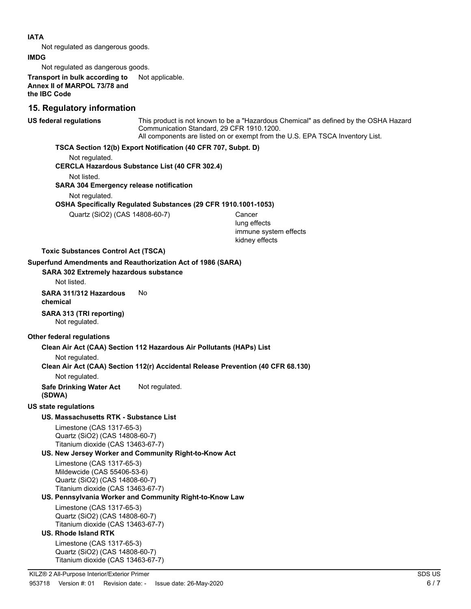#### **IATA**

Not regulated as dangerous goods.

#### **IMDG**

Not regulated as dangerous goods.

**Transport in bulk according to** Not applicable. **Annex II of MARPOL 73/78 and the IBC Code**

### **15. Regulatory information**

**US federal regulations**

This product is not known to be a "Hazardous Chemical" as defined by the OSHA Hazard Communication Standard, 29 CFR 1910.1200. All components are listed on or exempt from the U.S. EPA TSCA Inventory List.

#### **TSCA Section 12(b) Export Notification (40 CFR 707, Subpt. D)**

Not regulated.

**CERCLA Hazardous Substance List (40 CFR 302.4)**

Not listed.

#### **SARA 304 Emergency release notification**

Not regulated.

#### **OSHA Specifically Regulated Substances (29 CFR 1910.1001-1053)**

Quartz (SiO2) (CAS 14808-60-7) Cancer

lung effects immune system effects kidney effects

#### **Toxic Substances Control Act (TSCA)**

#### **Superfund Amendments and Reauthorization Act of 1986 (SARA)**

#### **SARA 302 Extremely hazardous substance**

Not listed.

**SARA 311/312 Hazardous** No **chemical**

#### **SARA 313 (TRI reporting)** Not regulated.

#### **Other federal regulations**

#### **Clean Air Act (CAA) Section 112 Hazardous Air Pollutants (HAPs) List**

Not regulated.

#### **Clean Air Act (CAA) Section 112(r) Accidental Release Prevention (40 CFR 68.130)**

Not regulated.

## **Safe Drinking Water Act** Not regulated.

**(SDWA)**

#### **US state regulations**

### **US. Massachusetts RTK - Substance List**

Limestone (CAS 1317-65-3) Quartz (SiO2) (CAS 14808-60-7) Titanium dioxide (CAS 13463-67-7)

#### **US. New Jersey Worker and Community Right-to-Know Act**

Limestone (CAS 1317-65-3) Mildewcide (CAS 55406-53-6) Quartz (SiO2) (CAS 14808-60-7) Titanium dioxide (CAS 13463-67-7)

### **US. Pennsylvania Worker and Community Right-to-Know Law**

Limestone (CAS 1317-65-3) Quartz (SiO2) (CAS 14808-60-7) Titanium dioxide (CAS 13463-67-7)

### **US. Rhode Island RTK**

Limestone (CAS 1317-65-3) Quartz (SiO2) (CAS 14808-60-7) Titanium dioxide (CAS 13463-67-7)